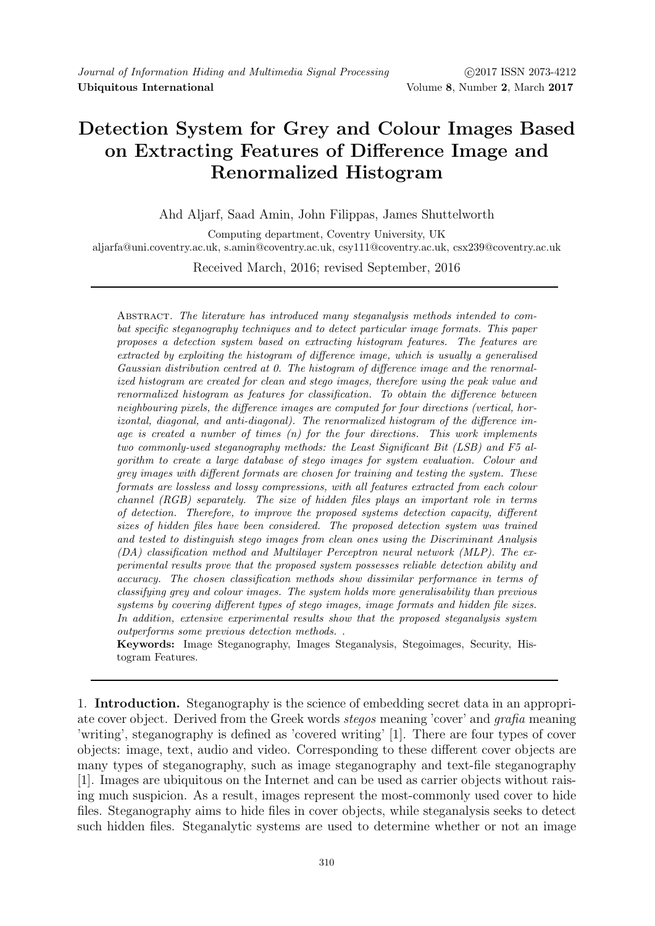## Detection System for Grey and Colour Images Based on Extracting Features of Difference Image and Renormalized Histogram

Ahd Aljarf, Saad Amin, John Filippas, James Shuttelworth

Computing department, Coventry University, UK aljarfa@uni.coventry.ac.uk, s.amin@coventry.ac.uk, csy111@coventry.ac.uk, csx239@coventry.ac.uk

Received March, 2016; revised September, 2016

Abstract. The literature has introduced many steganalysis methods intended to combat specific steganography techniques and to detect particular image formats. This paper proposes a detection system based on extracting histogram features. The features are extracted by exploiting the histogram of difference image, which is usually a generalised Gaussian distribution centred at 0. The histogram of difference image and the renormalized histogram are created for clean and stego images, therefore using the peak value and renormalized histogram as features for classification. To obtain the difference between neighbouring pixels, the difference images are computed for four directions (vertical, horizontal, diagonal, and anti-diagonal). The renormalized histogram of the difference image is created a number of times  $(n)$  for the four directions. This work implements two commonly-used steganography methods: the Least Significant Bit (LSB) and F5 algorithm to create a large database of stego images for system evaluation. Colour and grey images with different formats are chosen for training and testing the system. These formats are lossless and lossy compressions, with all features extracted from each colour channel (RGB) separately. The size of hidden files plays an important role in terms of detection. Therefore, to improve the proposed systems detection capacity, different sizes of hidden files have been considered. The proposed detection system was trained and tested to distinguish stego images from clean ones using the Discriminant Analysis (DA) classification method and Multilayer Perceptron neural network (MLP). The experimental results prove that the proposed system possesses reliable detection ability and accuracy. The chosen classification methods show dissimilar performance in terms of classifying grey and colour images. The system holds more generalisability than previous systems by covering different types of stego images, image formats and hidden file sizes. In addition, extensive experimental results show that the proposed steganalysis system outperforms some previous detection methods. .

Keywords: Image Steganography, Images Steganalysis, Stegoimages, Security, Histogram Features.

1. Introduction. Steganography is the science of embedding secret data in an appropriate cover object. Derived from the Greek words stegos meaning 'cover' and grafia meaning 'writing', steganography is defined as 'covered writing' [1]. There are four types of cover objects: image, text, audio and video. Corresponding to these different cover objects are many types of steganography, such as image steganography and text-file steganography [1]. Images are ubiquitous on the Internet and can be used as carrier objects without raising much suspicion. As a result, images represent the most-commonly used cover to hide files. Steganography aims to hide files in cover objects, while steganalysis seeks to detect such hidden files. Steganalytic systems are used to determine whether or not an image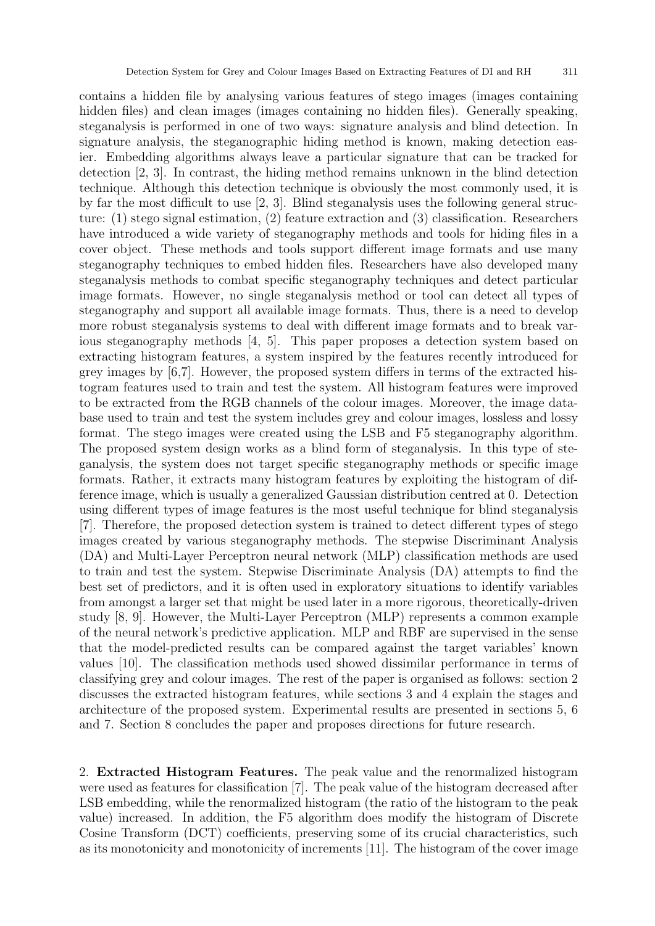contains a hidden file by analysing various features of stego images (images containing hidden files) and clean images (images containing no hidden files). Generally speaking, steganalysis is performed in one of two ways: signature analysis and blind detection. In signature analysis, the steganographic hiding method is known, making detection easier. Embedding algorithms always leave a particular signature that can be tracked for detection [2, 3]. In contrast, the hiding method remains unknown in the blind detection technique. Although this detection technique is obviously the most commonly used, it is by far the most difficult to use [2, 3]. Blind steganalysis uses the following general structure: (1) stego signal estimation, (2) feature extraction and (3) classification. Researchers have introduced a wide variety of steganography methods and tools for hiding files in a cover object. These methods and tools support different image formats and use many steganography techniques to embed hidden files. Researchers have also developed many steganalysis methods to combat specific steganography techniques and detect particular image formats. However, no single steganalysis method or tool can detect all types of steganography and support all available image formats. Thus, there is a need to develop more robust steganalysis systems to deal with different image formats and to break various steganography methods [4, 5]. This paper proposes a detection system based on extracting histogram features, a system inspired by the features recently introduced for grey images by [6,7]. However, the proposed system differs in terms of the extracted histogram features used to train and test the system. All histogram features were improved to be extracted from the RGB channels of the colour images. Moreover, the image database used to train and test the system includes grey and colour images, lossless and lossy format. The stego images were created using the LSB and F5 steganography algorithm. The proposed system design works as a blind form of steganalysis. In this type of steganalysis, the system does not target specific steganography methods or specific image formats. Rather, it extracts many histogram features by exploiting the histogram of difference image, which is usually a generalized Gaussian distribution centred at 0. Detection using different types of image features is the most useful technique for blind steganalysis [7]. Therefore, the proposed detection system is trained to detect different types of stego images created by various steganography methods. The stepwise Discriminant Analysis (DA) and Multi-Layer Perceptron neural network (MLP) classification methods are used to train and test the system. Stepwise Discriminate Analysis (DA) attempts to find the best set of predictors, and it is often used in exploratory situations to identify variables from amongst a larger set that might be used later in a more rigorous, theoretically-driven study [8, 9]. However, the Multi-Layer Perceptron (MLP) represents a common example of the neural network's predictive application. MLP and RBF are supervised in the sense that the model-predicted results can be compared against the target variables' known values [10]. The classification methods used showed dissimilar performance in terms of classifying grey and colour images. The rest of the paper is organised as follows: section 2 discusses the extracted histogram features, while sections 3 and 4 explain the stages and architecture of the proposed system. Experimental results are presented in sections 5, 6 and 7. Section 8 concludes the paper and proposes directions for future research.

2. Extracted Histogram Features. The peak value and the renormalized histogram were used as features for classification [7]. The peak value of the histogram decreased after LSB embedding, while the renormalized histogram (the ratio of the histogram to the peak value) increased. In addition, the F5 algorithm does modify the histogram of Discrete Cosine Transform (DCT) coefficients, preserving some of its crucial characteristics, such as its monotonicity and monotonicity of increments [11]. The histogram of the cover image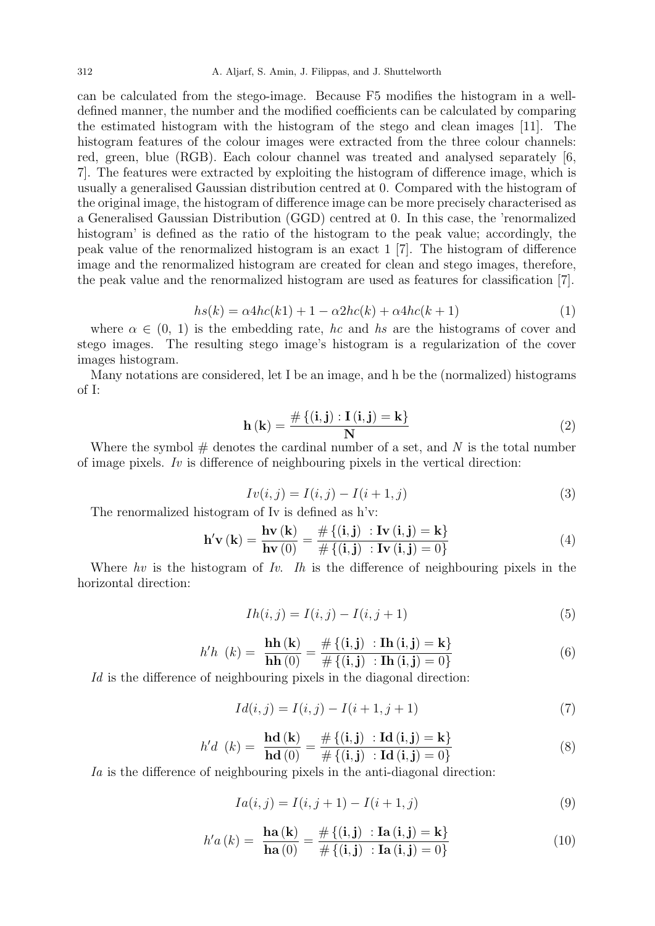312 A. Aljarf, S. Amin, J. Filippas, and J. Shuttelworth

can be calculated from the stego-image. Because F5 modifies the histogram in a welldefined manner, the number and the modified coefficients can be calculated by comparing the estimated histogram with the histogram of the stego and clean images [11]. The histogram features of the colour images were extracted from the three colour channels: red, green, blue (RGB). Each colour channel was treated and analysed separately [6, 7]. The features were extracted by exploiting the histogram of difference image, which is usually a generalised Gaussian distribution centred at 0. Compared with the histogram of the original image, the histogram of difference image can be more precisely characterised as a Generalised Gaussian Distribution (GGD) centred at 0. In this case, the 'renormalized histogram' is defined as the ratio of the histogram to the peak value; accordingly, the peak value of the renormalized histogram is an exact 1 [7]. The histogram of difference image and the renormalized histogram are created for clean and stego images, therefore, the peak value and the renormalized histogram are used as features for classification [7].

$$
hs(k) = \alpha 4hc(k1) + 1 - \alpha 2hc(k) + \alpha 4hc(k+1)
$$
\n<sup>(1)</sup>

where  $\alpha \in (0, 1)$  is the embedding rate, hc and hs are the histograms of cover and stego images. The resulting stego image's histogram is a regularization of the cover images histogram.

Many notations are considered, let I be an image, and h be the (normalized) histograms of I:

$$
\mathbf{h}\left(\mathbf{k}\right) = \frac{\#\left\{\left(i, j\right) : \mathbf{I}\left(i, j\right) = \mathbf{k}\right\}}{\mathbf{N}}\tag{2}
$$

Where the symbol  $#$  denotes the cardinal number of a set, and N is the total number of image pixels. Iv is difference of neighbouring pixels in the vertical direction:

$$
Iv(i,j) = I(i,j) - I(i+1,j)
$$
\n(3)

The renormalized histogram of Iv is defined as h'v:

$$
\mathbf{h}'\mathbf{v}(\mathbf{k}) = \frac{\mathbf{h}\mathbf{v}(\mathbf{k})}{\mathbf{h}\mathbf{v}(0)} = \frac{\#\{(\mathbf{i}, \mathbf{j}) : \mathbf{I}\mathbf{v}(\mathbf{i}, \mathbf{j}) = \mathbf{k}\}}{\#\{(\mathbf{i}, \mathbf{j}) : \mathbf{I}\mathbf{v}(\mathbf{i}, \mathbf{j}) = 0\}}
$$
(4)

Where hv is the histogram of Iv. Ih is the difference of neighbouring pixels in the horizontal direction:

$$
Ih(i,j) = I(i,j) - I(i,j+1)
$$
\n(5)

$$
h'h (k) = \frac{\mathbf{h}\mathbf{h}(\mathbf{k})}{\mathbf{h}\mathbf{h}(0)} = \frac{\# \{ (\mathbf{i}, \mathbf{j}) : \mathbf{I}\mathbf{h} (\mathbf{i}, \mathbf{j}) = \mathbf{k} \}}{\# \{ (\mathbf{i}, \mathbf{j}) : \mathbf{I}\mathbf{h} (\mathbf{i}, \mathbf{j}) = 0 \}}
$$
(6)

Id is the difference of neighbouring pixels in the diagonal direction:

$$
Id(i, j) = I(i, j) - I(i + 1, j + 1)
$$
\n(7)

$$
h'd \ (k) = \ \frac{\mathbf{hd}(\mathbf{k})}{\mathbf{hd}(0)} = \frac{\# \{ (\mathbf{i}, \mathbf{j}) \ : \mathbf{Id} \ (\mathbf{i}, \mathbf{j}) = \mathbf{k} \}}{\# \{ (\mathbf{i}, \mathbf{j}) \ : \mathbf{Id} \ (\mathbf{i}, \mathbf{j}) = 0 \}}
$$
(8)

Ia is the difference of neighbouring pixels in the anti-diagonal direction:

$$
Ia(i,j) = I(i,j+1) - I(i+1,j)
$$
\n(9)

$$
h'a(k) = \frac{\mathbf{ha(k)}}{\mathbf{ha}(0)} = \frac{\# \{ (\mathbf{i}, \mathbf{j}) : \mathbf{Ia}(\mathbf{i}, \mathbf{j}) = \mathbf{k} \}}{\# \{ (\mathbf{i}, \mathbf{j}) : \mathbf{Ia}(\mathbf{i}, \mathbf{j}) = 0 \}}
$$
(10)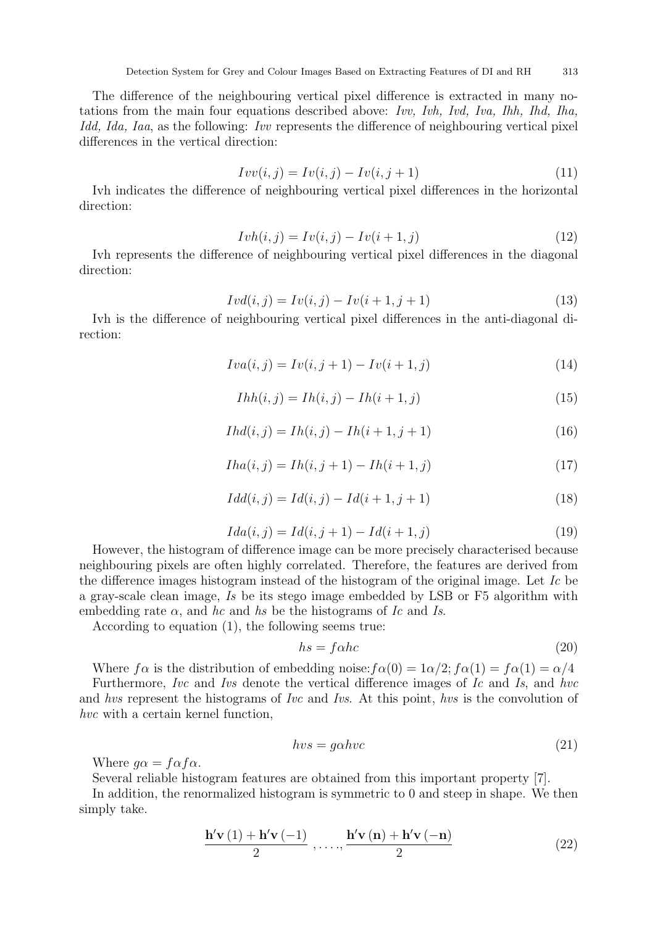The difference of the neighbouring vertical pixel difference is extracted in many notations from the main four equations described above: Ivv, Ivh, Ivd, Iva, Ihh, Ihd, Iha, Idd, Ida, Iaa, as the following: Ivv represents the difference of neighbouring vertical pixel differences in the vertical direction:

$$
Ivv(i,j) = Iv(i,j) - Iv(i,j+1)
$$
\n(11)

Ivh indicates the difference of neighbouring vertical pixel differences in the horizontal direction:

$$
Ivh(i,j) = Iv(i,j) - Iv(i+1,j)
$$
\n(12)

Ivh represents the difference of neighbouring vertical pixel differences in the diagonal direction:

$$
Ivd(i,j) = Iv(i,j) - Iv(i+1,j+1)
$$
\n(13)

Ivh is the difference of neighbouring vertical pixel differences in the anti-diagonal direction:

$$
Iva(i,j) = Iv(i,j+1) - Iv(i+1,j)
$$
\n(14)

$$
Ihh(i, j) = Ih(i, j) - Ih(i + 1, j)
$$
\n(15)

$$
Ihd(i,j) = Ih(i,j) - Ih(i+1,j+1)
$$
\n(16)

$$
Iha(i,j) = Ih(i,j+1) - Ih(i+1,j)
$$
\n(17)

$$
Idd(i, j) = Id(i, j) - Id(i + 1, j + 1)
$$
\n(18)

$$
Ida(i, j) = Id(i, j + 1) - Id(i + 1, j)
$$
\n(19)

However, the histogram of difference image can be more precisely characterised because neighbouring pixels are often highly correlated. Therefore, the features are derived from the difference images histogram instead of the histogram of the original image. Let Ic be a gray-scale clean image, Is be its stego image embedded by LSB or F5 algorithm with embedding rate  $\alpha$ , and hc and hs be the histograms of Ic and Is.

According to equation (1), the following seems true:

$$
hs = f \alpha h c \tag{20}
$$

Where  $f\alpha$  is the distribution of embedding noise:  $f\alpha(0) = 1\alpha/2$ ;  $f\alpha(1) = f\alpha(1) = \alpha/4$ 

Furthermore, Ivc and Ivs denote the vertical difference images of Ic and Is, and hvc and hvs represent the histograms of Ivc and Ivs. At this point, hvs is the convolution of hvc with a certain kernel function,

$$
hvs = g\alpha hvc \tag{21}
$$

Where  $g\alpha = f\alpha f\alpha$ .

Several reliable histogram features are obtained from this important property [7].

In addition, the renormalized histogram is symmetric to 0 and steep in shape. We then simply take.

$$
\frac{\mathbf{h}'\mathbf{v}(1) + \mathbf{h}'\mathbf{v}(-1)}{2}, \dots, \frac{\mathbf{h}'\mathbf{v}(\mathbf{n}) + \mathbf{h}'\mathbf{v}(-\mathbf{n})}{2}
$$
 (22)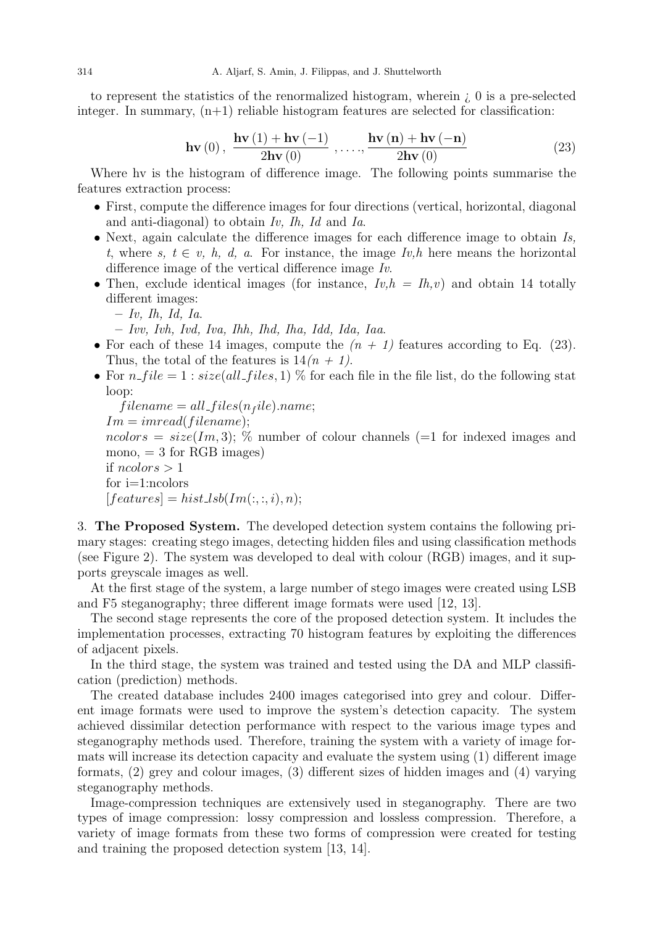to represent the statistics of the renormalized histogram, wherein ¿ 0 is a pre-selected integer. In summary,  $(n+1)$  reliable histogram features are selected for classification:

$$
\mathbf{hv}\left(0\right), \ \frac{\mathbf{hv}\left(1\right) + \mathbf{hv}\left(-1\right)}{2\mathbf{hv}\left(0\right)}, \dots, \frac{\mathbf{hv}\left(\mathbf{n}\right) + \mathbf{hv}\left(-\mathbf{n}\right)}{2\mathbf{hv}\left(0\right)}\tag{23}
$$

Where hv is the histogram of difference image. The following points summarise the features extraction process:

- First, compute the difference images for four directions (vertical, horizontal, diagonal and anti-diagonal) to obtain Iv, Ih, Id and Ia.
- $\bullet$  Next, again calculate the difference images for each difference image to obtain  $Is$ , t, where s,  $t \in v$ , h, d, a. For instance, the image  $Iv$ , h here means the horizontal difference image of the vertical difference image Iv.
- Then, exclude identical images (for instance,  $Iv, h = Ih, v$ ) and obtain 14 totally different images:
	- $Iv$ , *Ih*, *Id*, *Ia*.
	- Ivv, Ivh, Ivd, Iva, Ihh, Ihd, Iha, Idd, Ida, Iaa.
- For each of these 14 images, compute the  $(n + 1)$  features according to Eq. (23). Thus, the total of the features is  $14(n + 1)$ .
- For  $n$  file  $= 1$ :  $size(all\_files, 1)$  % for each file in the file list, do the following stat loop:

```
filename = all_{files}(n_{file}).name;Im = imread(filename);ncolors = size(Im, 3); % number of colour channels (=1 for indexed images and
mono, = 3 for RGB images)
if ncolors > 1for i=1:ncolors
[features] = hist\_lsb(Im(:, :, i), n);
```
3. The Proposed System. The developed detection system contains the following primary stages: creating stego images, detecting hidden files and using classification methods (see Figure 2). The system was developed to deal with colour (RGB) images, and it supports greyscale images as well.

At the first stage of the system, a large number of stego images were created using LSB and F5 steganography; three different image formats were used [12, 13].

The second stage represents the core of the proposed detection system. It includes the implementation processes, extracting 70 histogram features by exploiting the differences of adjacent pixels.

In the third stage, the system was trained and tested using the DA and MLP classification (prediction) methods.

The created database includes 2400 images categorised into grey and colour. Different image formats were used to improve the system's detection capacity. The system achieved dissimilar detection performance with respect to the various image types and steganography methods used. Therefore, training the system with a variety of image formats will increase its detection capacity and evaluate the system using (1) different image formats, (2) grey and colour images, (3) different sizes of hidden images and (4) varying steganography methods.

Image-compression techniques are extensively used in steganography. There are two types of image compression: lossy compression and lossless compression. Therefore, a variety of image formats from these two forms of compression were created for testing and training the proposed detection system [13, 14].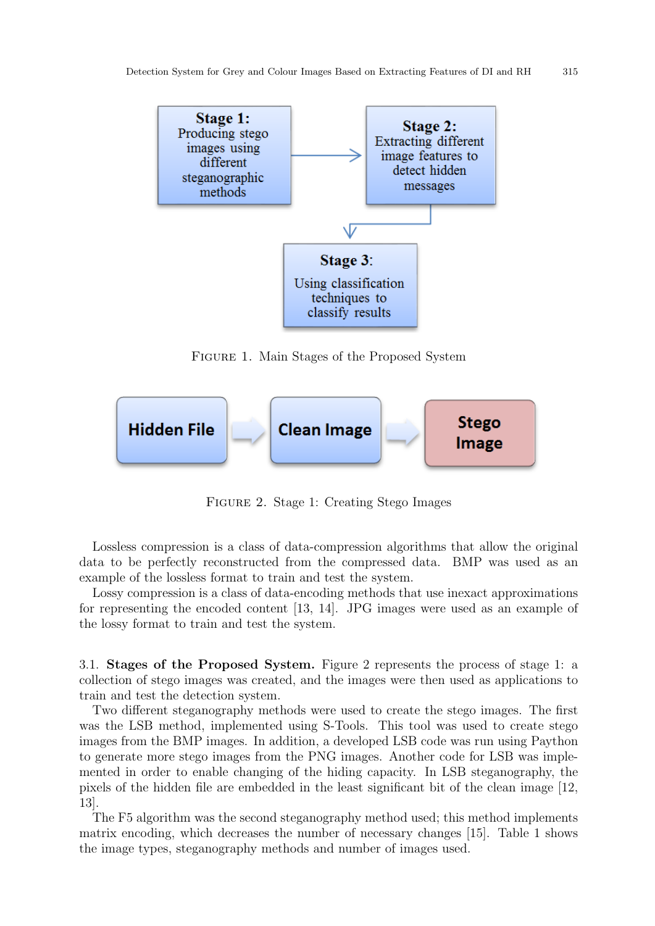

Figure 1. Main Stages of the Proposed System



Figure 2. Stage 1: Creating Stego Images

Lossless compression is a class of data-compression algorithms that allow the original data to be perfectly reconstructed from the compressed data. BMP was used as an example of the lossless format to train and test the system.

Lossy compression is a class of data-encoding methods that use inexact approximations for representing the encoded content [13, 14]. JPG images were used as an example of the lossy format to train and test the system.

3.1. Stages of the Proposed System. Figure 2 represents the process of stage 1: a collection of stego images was created, and the images were then used as applications to train and test the detection system.

Two different steganography methods were used to create the stego images. The first was the LSB method, implemented using S-Tools. This tool was used to create stego images from the BMP images. In addition, a developed LSB code was run using Paython to generate more stego images from the PNG images. Another code for LSB was implemented in order to enable changing of the hiding capacity. In LSB steganography, the pixels of the hidden file are embedded in the least significant bit of the clean image [12, 13].

The F5 algorithm was the second steganography method used; this method implements matrix encoding, which decreases the number of necessary changes [15]. Table 1 shows the image types, steganography methods and number of images used.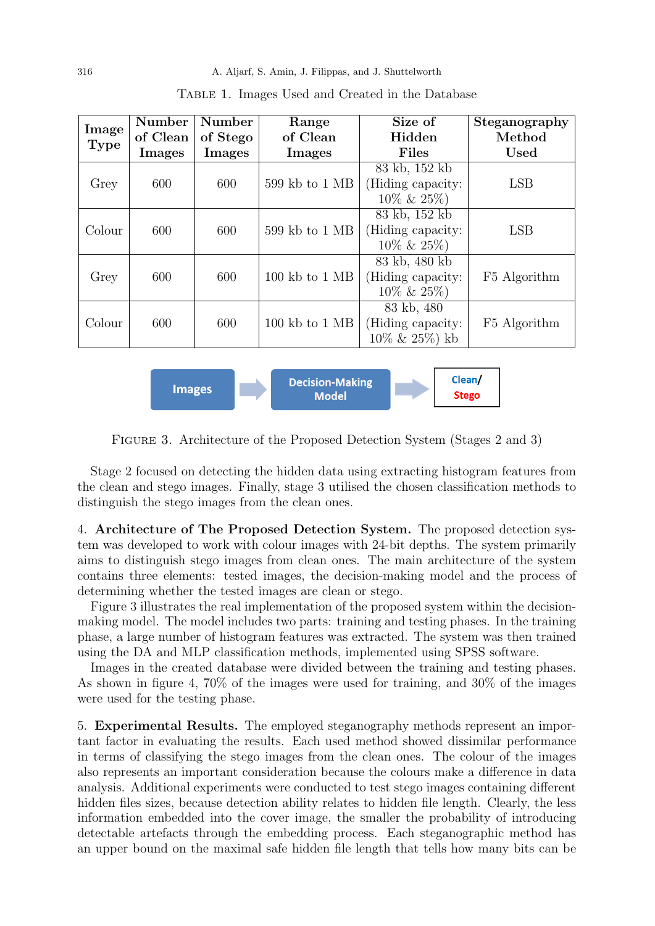| Image<br><b>Type</b> | <b>Number</b><br>of Clean | Number<br>of Stego | Range<br>of Clean                  | Size of<br>Hidden                                     | Steganography<br>Method |
|----------------------|---------------------------|--------------------|------------------------------------|-------------------------------------------------------|-------------------------|
|                      | Images                    | Images             | Images                             | <b>Files</b>                                          | <b>Used</b>             |
|                      |                           |                    |                                    | 83 kb, 152 kb                                         |                         |
| Grey                 | 600                       | 600                | 599 kb to 1 MB                     | (Hiding capacity:<br>$10\% \& 25\%)$                  | <b>LSB</b>              |
|                      |                           |                    |                                    | 83 kb, 152 kb                                         |                         |
| Colour               | 600                       | 600                | 599 kb to 1 MB                     | (Hiding capacity:                                     | <b>LSB</b>              |
|                      |                           |                    |                                    | $10\% \& 25\%)$                                       |                         |
| Grey                 | 600                       | 600                | $100$ kb to $1$ MB                 | 83 kb, 480 kb<br>(Hiding capacity:<br>$10\% \& 25\%)$ | F5 Algorithm            |
| Colour               | 600                       | 600                | $100 \text{ kb}$ to $1 \text{ MB}$ | 83 kb, 480<br>(Hiding capacity:<br>$10\% \& 25\%)$ kb | F5 Algorithm            |

Table 1. Images Used and Created in the Database



Figure 3. Architecture of the Proposed Detection System (Stages 2 and 3)

Stage 2 focused on detecting the hidden data using extracting histogram features from the clean and stego images. Finally, stage 3 utilised the chosen classification methods to distinguish the stego images from the clean ones.

4. Architecture of The Proposed Detection System. The proposed detection system was developed to work with colour images with 24-bit depths. The system primarily aims to distinguish stego images from clean ones. The main architecture of the system contains three elements: tested images, the decision-making model and the process of determining whether the tested images are clean or stego.

Figure 3 illustrates the real implementation of the proposed system within the decisionmaking model. The model includes two parts: training and testing phases. In the training phase, a large number of histogram features was extracted. The system was then trained using the DA and MLP classification methods, implemented using SPSS software.

Images in the created database were divided between the training and testing phases. As shown in figure 4, 70% of the images were used for training, and 30% of the images were used for the testing phase.

5. Experimental Results. The employed steganography methods represent an important factor in evaluating the results. Each used method showed dissimilar performance in terms of classifying the stego images from the clean ones. The colour of the images also represents an important consideration because the colours make a difference in data analysis. Additional experiments were conducted to test stego images containing different hidden files sizes, because detection ability relates to hidden file length. Clearly, the less information embedded into the cover image, the smaller the probability of introducing detectable artefacts through the embedding process. Each steganographic method has an upper bound on the maximal safe hidden file length that tells how many bits can be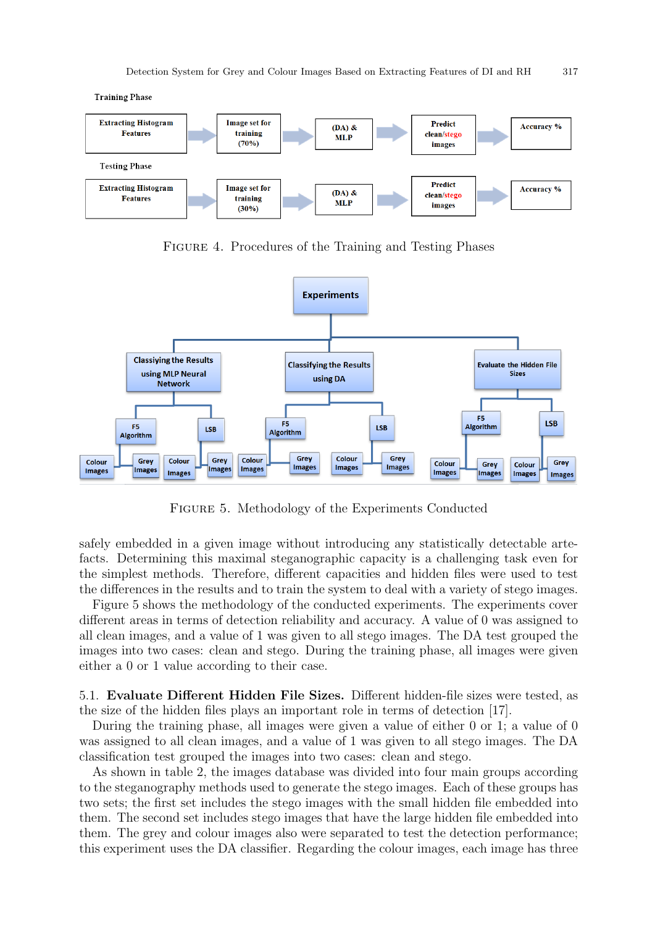**Training Phase** 



Figure 4. Procedures of the Training and Testing Phases



Figure 5. Methodology of the Experiments Conducted

safely embedded in a given image without introducing any statistically detectable artefacts. Determining this maximal steganographic capacity is a challenging task even for the simplest methods. Therefore, different capacities and hidden files were used to test the differences in the results and to train the system to deal with a variety of stego images.

Figure 5 shows the methodology of the conducted experiments. The experiments cover different areas in terms of detection reliability and accuracy. A value of 0 was assigned to all clean images, and a value of 1 was given to all stego images. The DA test grouped the images into two cases: clean and stego. During the training phase, all images were given either a 0 or 1 value according to their case.

5.1. Evaluate Different Hidden File Sizes. Different hidden-file sizes were tested, as the size of the hidden files plays an important role in terms of detection [17].

During the training phase, all images were given a value of either 0 or 1; a value of 0 was assigned to all clean images, and a value of 1 was given to all stego images. The DA classification test grouped the images into two cases: clean and stego.

As shown in table 2, the images database was divided into four main groups according to the steganography methods used to generate the stego images. Each of these groups has two sets; the first set includes the stego images with the small hidden file embedded into them. The second set includes stego images that have the large hidden file embedded into them. The grey and colour images also were separated to test the detection performance; this experiment uses the DA classifier. Regarding the colour images, each image has three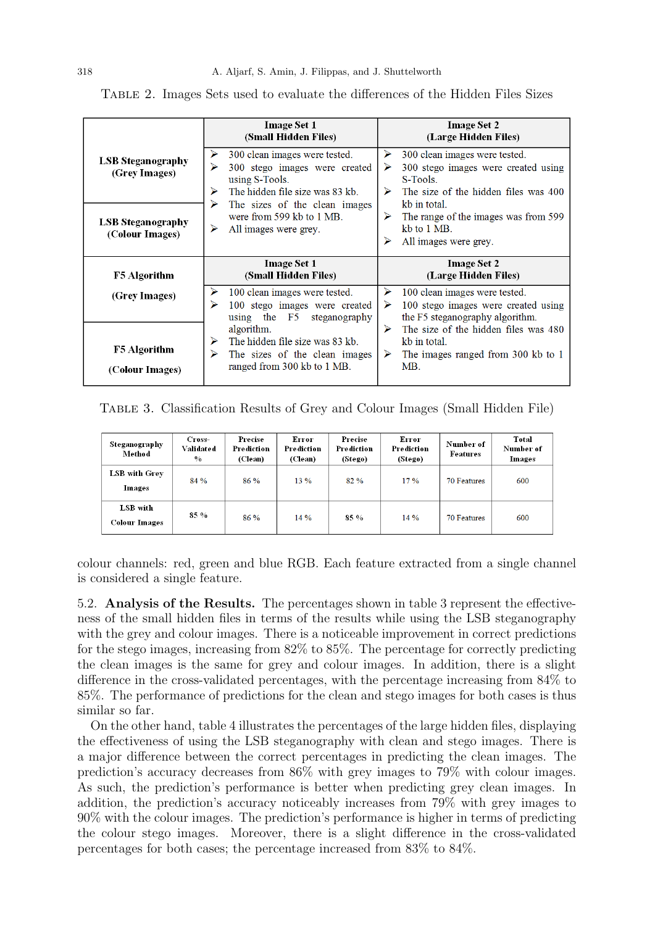|                                             | <b>Image Set 1</b><br>(Small Hidden Files)                                                                                                                               | <b>Image Set 2</b><br>(Large Hidden Files)                                                                                                                                                 |
|---------------------------------------------|--------------------------------------------------------------------------------------------------------------------------------------------------------------------------|--------------------------------------------------------------------------------------------------------------------------------------------------------------------------------------------|
| <b>LSB Steganography</b><br>(Grey Images)   | 300 clean images were tested.<br>⋗<br>⋗<br>300 stego images were created<br>using S-Tools.<br>The hidden file size was 83 kb.<br>⋗<br>The sizes of the clean images<br>⋗ | ➤<br>300 clean images were tested.<br>300 stego images were created using<br>$\triangleright$<br>S-Tools.<br>$\blacktriangleright$<br>The size of the hidden files was 400<br>kb in total. |
| <b>LSB Steganography</b><br>(Colour Images) | were from 599 kb to 1 MB.<br>⋗<br>All images were grey.                                                                                                                  | The range of the images was from 599<br>⋗<br>kb to 1 MB.<br>⋗<br>All images were grey.                                                                                                     |
|                                             |                                                                                                                                                                          |                                                                                                                                                                                            |
| <b>F5</b> Algorithm                         | <b>Image Set 1</b><br>(Small Hidden Files)                                                                                                                               | <b>Image Set 2</b><br>(Large Hidden Files)                                                                                                                                                 |
| (Grey Images)                               | 100 clean images were tested.<br>⋗<br>100 stego images were created<br>using the F5 steganography                                                                        | ➤<br>100 clean images were tested.<br>100 stego images were created using<br>➤<br>the F5 steganography algorithm.                                                                          |

Table 2. Images Sets used to evaluate the differences of the Hidden Files Sizes

Table 3. Classification Results of Grey and Colour Images (Small Hidden File)

| Steganography<br>Method   | Cross-<br>Validated<br>$\frac{0}{0}$ | Precise<br>Prediction<br>(Clean) | Error<br>Prediction<br>(Clean) | Precise<br>Prediction<br>(Stego) | Error<br>Prediction<br>(Stego) | Number of<br>Features | Total<br>Number of<br>Images |
|---------------------------|--------------------------------------|----------------------------------|--------------------------------|----------------------------------|--------------------------------|-----------------------|------------------------------|
| LSB with Grey<br>Images   | 84 %                                 | 86 %                             | $13\%$                         | 82%                              | 17%                            | <b>70 Features</b>    | 600                          |
| LSB with<br>Colour Images | $85\%$                               | $86\%$                           | $14\%$                         | 85 %                             | 14%                            | 70 Features           | 600                          |

colour channels: red, green and blue RGB. Each feature extracted from a single channel is considered a single feature.

5.2. Analysis of the Results. The percentages shown in table 3 represent the effectiveness of the small hidden files in terms of the results while using the LSB steganography with the grey and colour images. There is a noticeable improvement in correct predictions for the stego images, increasing from 82% to 85%. The percentage for correctly predicting the clean images is the same for grey and colour images. In addition, there is a slight difference in the cross-validated percentages, with the percentage increasing from 84% to 85%. The performance of predictions for the clean and stego images for both cases is thus similar so far.

On the other hand, table 4 illustrates the percentages of the large hidden files, displaying the effectiveness of using the LSB steganography with clean and stego images. There is a major difference between the correct percentages in predicting the clean images. The prediction's accuracy decreases from 86% with grey images to 79% with colour images. As such, the prediction's performance is better when predicting grey clean images. In addition, the prediction's accuracy noticeably increases from 79% with grey images to 90% with the colour images. The prediction's performance is higher in terms of predicting the colour stego images. Moreover, there is a slight difference in the cross-validated percentages for both cases; the percentage increased from 83% to 84%.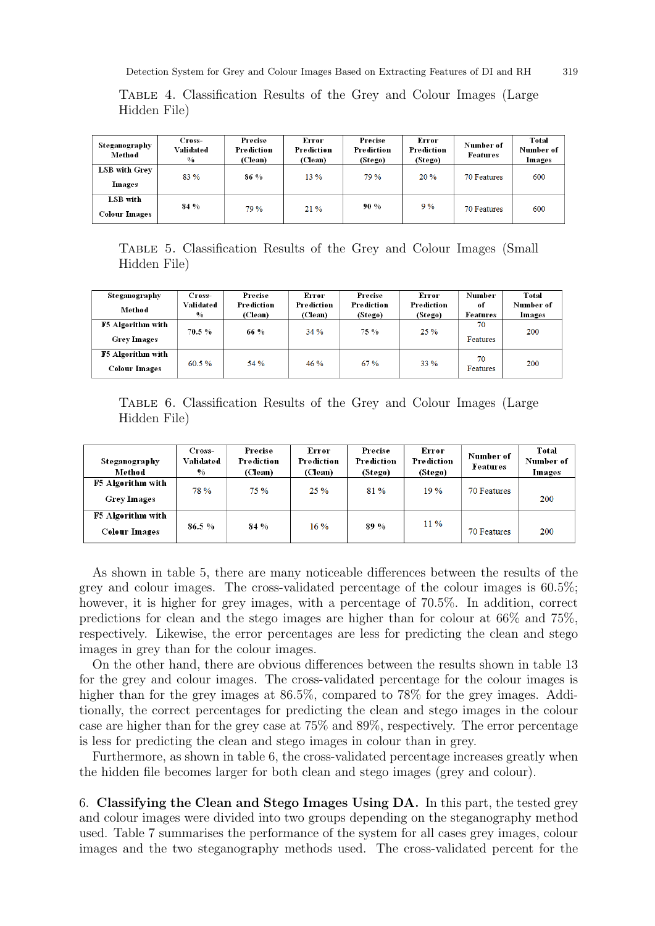Detection System for Grey and Colour Images Based on Extracting Features of DI and RH 319

| Steganography<br>Method          | Cross-<br>Validated<br>$\frac{0}{0}$ | Precise<br>Prediction<br>(Clean) | Error<br>Prediction<br>(Clean) | Precise<br>Prediction<br>(Stego) | Error<br>Prediction<br>(Stego) | Number of<br><b>Features</b> | Total<br>Number of<br>Images |
|----------------------------------|--------------------------------------|----------------------------------|--------------------------------|----------------------------------|--------------------------------|------------------------------|------------------------------|
| LSB with Grev<br>Images          | 83 %                                 | 86 %                             | $13\%$                         | 79 %                             | 20%                            | 70 Features                  | 600                          |
| LSB with<br><b>Colour Images</b> | 84 %                                 | 79 %                             | $21\%$                         | 90%                              | 9%                             | 70 Features                  | 600                          |

Table 4. Classification Results of the Grey and Colour Images (Large Hidden File)

Table 5. Classification Results of the Grey and Colour Images (Small Hidden File)

| Steganography                                  | Cross-                     | Precise               | Error                 | Precise               | Error                 | Number         | Total               |
|------------------------------------------------|----------------------------|-----------------------|-----------------------|-----------------------|-----------------------|----------------|---------------------|
| Method                                         | Validated<br>$\frac{0}{0}$ | Prediction<br>(Clean) | Prediction<br>(Clean) | Prediction<br>(Stego) | Prediction<br>(Stego) | of<br>Features | Number of<br>Images |
| <b>F5 Algorithm with</b><br><b>Grey Images</b> | 70.5 %                     | 66 %                  | 34%                   | 75 %                  | 25%                   | 70<br>Features | 200                 |
| F5 Algorithm with<br><b>Colour Images</b>      | $60.5 \%$                  | 54%                   | 46%                   | 67%                   | 33 %                  | 70<br>Features | 200                 |

Table 6. Classification Results of the Grey and Colour Images (Large Hidden File)

| Steganography<br>Method                   | Cross-<br>Validated<br>$\frac{0}{0}$ | Precise<br>Prediction<br>(Clean) | Error<br>Prediction<br>(Clean) | Precise<br>Prediction<br>(Stego) | Error<br>Prediction<br>(Stego) | Number of<br>Features | Total<br>Number of<br>Images |
|-------------------------------------------|--------------------------------------|----------------------------------|--------------------------------|----------------------------------|--------------------------------|-----------------------|------------------------------|
| F5 Algorithm with<br><b>Grey Images</b>   | <b>78%</b>                           | 75 %                             | 25%                            | 81 %                             | 19%                            | 70 Features           | 200                          |
| F5 Algorithm with<br><b>Colour Images</b> | 86.5%                                | 84 %                             | $16\%$                         | 89 %                             | $11\%$                         | <b>70 Features</b>    | 200                          |

As shown in table 5, there are many noticeable differences between the results of the grey and colour images. The cross-validated percentage of the colour images is 60.5%; however, it is higher for grey images, with a percentage of 70.5%. In addition, correct predictions for clean and the stego images are higher than for colour at 66% and 75%, respectively. Likewise, the error percentages are less for predicting the clean and stego images in grey than for the colour images.

On the other hand, there are obvious differences between the results shown in table 13 for the grey and colour images. The cross-validated percentage for the colour images is higher than for the grey images at  $86.5\%$ , compared to 78% for the grey images. Additionally, the correct percentages for predicting the clean and stego images in the colour case are higher than for the grey case at 75% and 89%, respectively. The error percentage is less for predicting the clean and stego images in colour than in grey.

Furthermore, as shown in table 6, the cross-validated percentage increases greatly when the hidden file becomes larger for both clean and stego images (grey and colour).

6. Classifying the Clean and Stego Images Using DA. In this part, the tested grey and colour images were divided into two groups depending on the steganography method used. Table 7 summarises the performance of the system for all cases grey images, colour images and the two steganography methods used. The cross-validated percent for the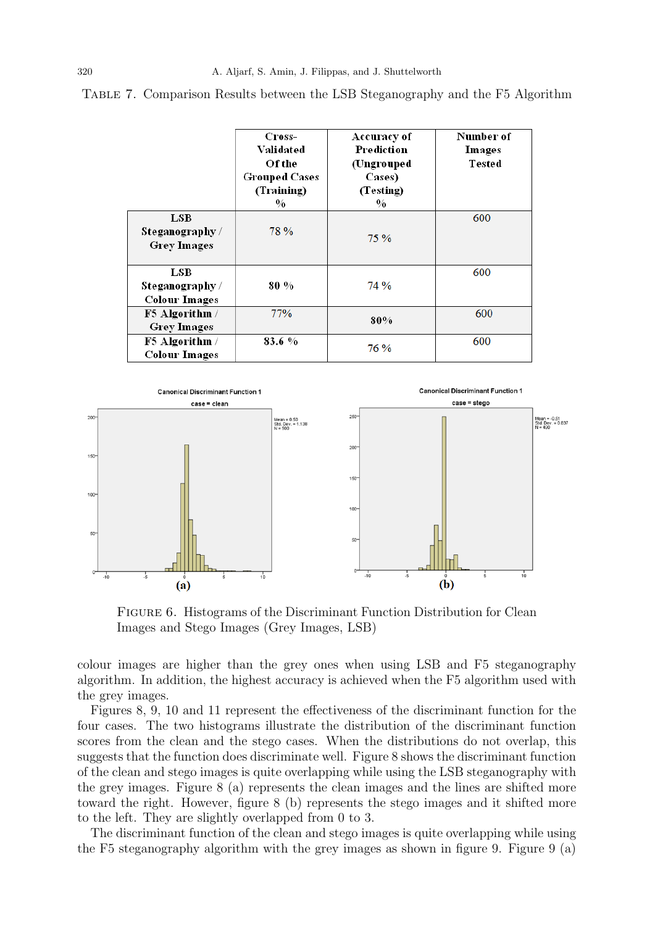|                                                | Cross-<br>Validated<br>Of the<br><b>Grouped Cases</b><br>(Training)<br>$\frac{0}{0}$ | Accuracy of<br>Prediction<br>(Ungrouped<br>Cases)<br>(Testing)<br>$\frac{0}{0}$ | Number of<br>Images<br>Tested |
|------------------------------------------------|--------------------------------------------------------------------------------------|---------------------------------------------------------------------------------|-------------------------------|
| LSB.<br>Steganography /<br><b>Grey Images</b>  | 78 %                                                                                 | 75%                                                                             | 600                           |
| LSB<br>Steganography /<br><b>Colour Images</b> | 80 %                                                                                 | 74 %                                                                            | 600                           |
| F5 Algorithm /<br><b>Grey Images</b>           | 77%                                                                                  | 80%                                                                             | 600                           |
| F5 Algorithm /<br><b>Colour Images</b>         | 83.6%                                                                                | 76 %                                                                            | 600                           |

Table 7. Comparison Results between the LSB Steganography and the F5 Algorithm



FIGURE 6. Histograms of the Discriminant Function Distribution for Clean Images and Stego Images (Grey Images, LSB)

colour images are higher than the grey ones when using LSB and F5 steganography algorithm. In addition, the highest accuracy is achieved when the F5 algorithm used with the grey images.

Figures 8, 9, 10 and 11 represent the effectiveness of the discriminant function for the four cases. The two histograms illustrate the distribution of the discriminant function scores from the clean and the stego cases. When the distributions do not overlap, this suggests that the function does discriminate well. Figure 8 shows the discriminant function of the clean and stego images is quite overlapping while using the LSB steganography with the grey images. Figure 8 (a) represents the clean images and the lines are shifted more toward the right. However, figure 8 (b) represents the stego images and it shifted more to the left. They are slightly overlapped from 0 to 3.

The discriminant function of the clean and stego images is quite overlapping while using the F5 steganography algorithm with the grey images as shown in figure 9. Figure 9 (a)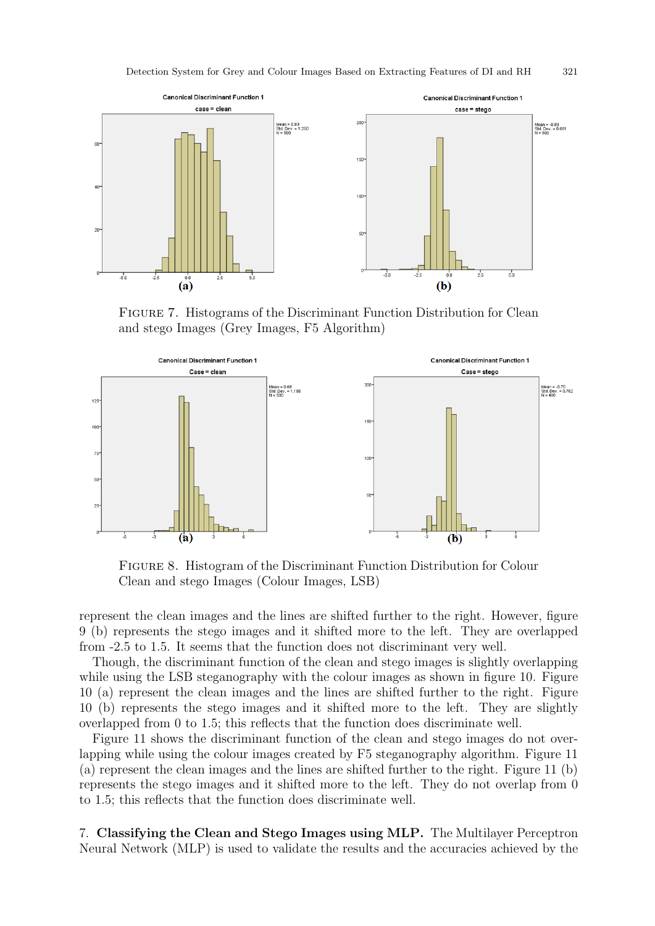

Figure 7. Histograms of the Discriminant Function Distribution for Clean and stego Images (Grey Images, F5 Algorithm)



Figure 8. Histogram of the Discriminant Function Distribution for Colour Clean and stego Images (Colour Images, LSB)

represent the clean images and the lines are shifted further to the right. However, figure 9 (b) represents the stego images and it shifted more to the left. They are overlapped from -2.5 to 1.5. It seems that the function does not discriminant very well.

Though, the discriminant function of the clean and stego images is slightly overlapping while using the LSB steganography with the colour images as shown in figure 10. Figure 10 (a) represent the clean images and the lines are shifted further to the right. Figure 10 (b) represents the stego images and it shifted more to the left. They are slightly overlapped from 0 to 1.5; this reflects that the function does discriminate well.

Figure 11 shows the discriminant function of the clean and stego images do not overlapping while using the colour images created by F5 steganography algorithm. Figure 11 (a) represent the clean images and the lines are shifted further to the right. Figure 11 (b) represents the stego images and it shifted more to the left. They do not overlap from 0 to 1.5; this reflects that the function does discriminate well.

7. Classifying the Clean and Stego Images using MLP. The Multilayer Perceptron Neural Network (MLP) is used to validate the results and the accuracies achieved by the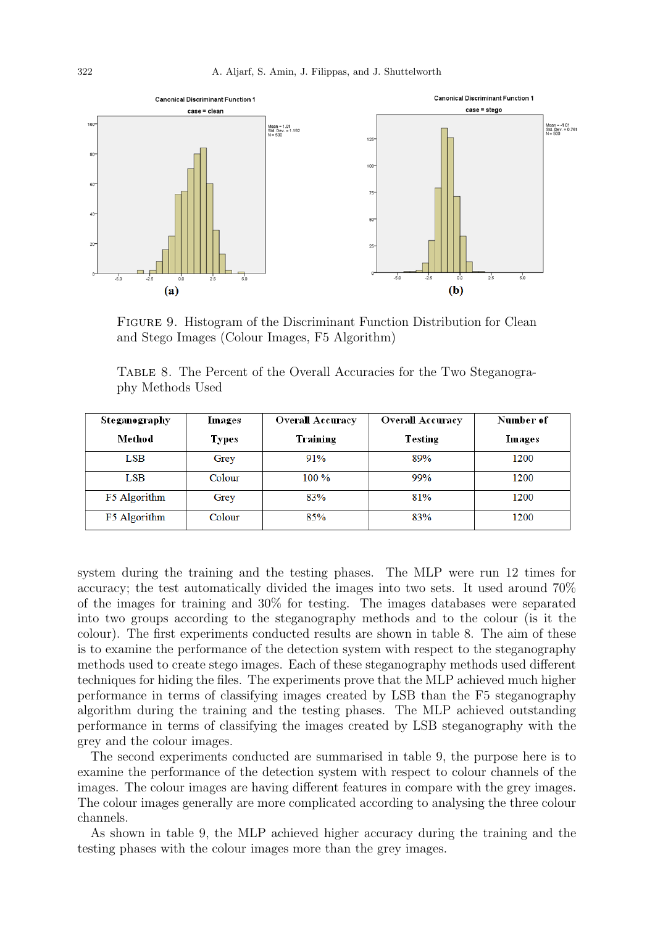

FIGURE 9. Histogram of the Discriminant Function Distribution for Clean and Stego Images (Colour Images, F5 Algorithm)

Table 8. The Percent of the Overall Accuracies for the Two Steganography Methods Used

| Steganography | Images       | <b>Overall Accuracy</b> | <b>Overall Accuracy</b> | Number of |
|---------------|--------------|-------------------------|-------------------------|-----------|
| Method        | <b>Types</b> | Training                | Testing                 | Images    |
| $_{\rm{LSB}}$ | Grey         | 91%                     | 89%                     | 1200      |
| LSB           | Colour       | $100\%$                 | 99%                     | 1200      |
| F5 Algorithm  | Grey         | 83%                     | 81%                     | 1200      |
| F5 Algorithm  | Colour       | 85%                     | 83%                     | 1200      |

system during the training and the testing phases. The MLP were run 12 times for accuracy; the test automatically divided the images into two sets. It used around 70% of the images for training and 30% for testing. The images databases were separated into two groups according to the steganography methods and to the colour (is it the colour). The first experiments conducted results are shown in table 8. The aim of these is to examine the performance of the detection system with respect to the steganography methods used to create stego images. Each of these steganography methods used different techniques for hiding the files. The experiments prove that the MLP achieved much higher performance in terms of classifying images created by LSB than the F5 steganography algorithm during the training and the testing phases. The MLP achieved outstanding performance in terms of classifying the images created by LSB steganography with the grey and the colour images.

The second experiments conducted are summarised in table 9, the purpose here is to examine the performance of the detection system with respect to colour channels of the images. The colour images are having different features in compare with the grey images. The colour images generally are more complicated according to analysing the three colour channels.

As shown in table 9, the MLP achieved higher accuracy during the training and the testing phases with the colour images more than the grey images.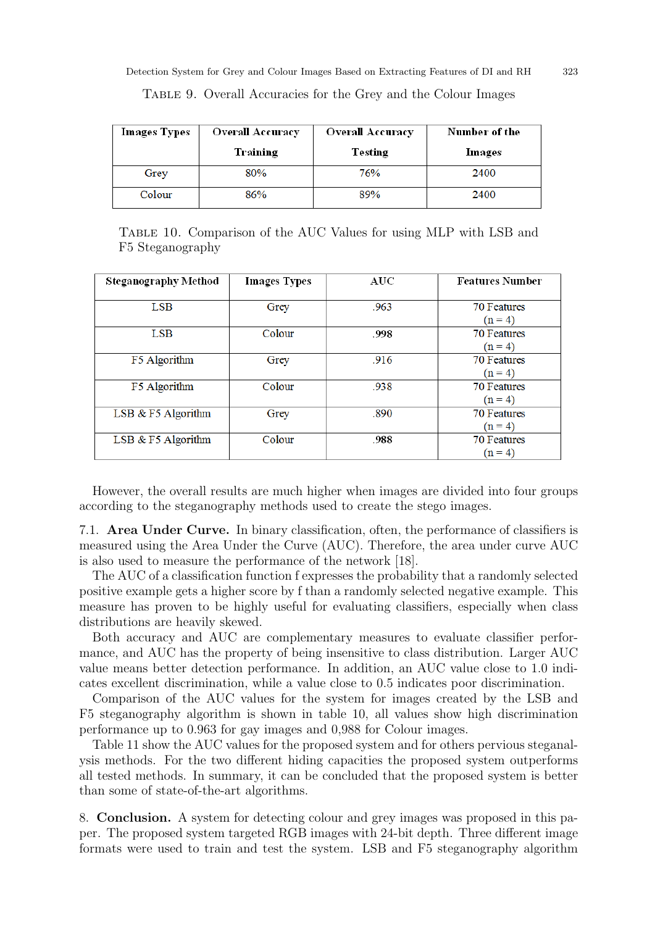| <b>Images Types</b> | <b>Overall Accuracy</b> | <b>Overall Accuracy</b> | Number of the |
|---------------------|-------------------------|-------------------------|---------------|
|                     | Training                | Testing                 | Images        |
| Grey                | 80%                     | 76%                     | 2400          |
| Colour              | 86%                     | 89%                     | 2400          |

Table 9. Overall Accuracies for the Grey and the Colour Images

Table 10. Comparison of the AUC Values for using MLP with LSB and F5 Steganography

| <b>Steganography Method</b> | <b>Images Types</b> | AUC  | <b>Features Number</b> |
|-----------------------------|---------------------|------|------------------------|
|                             |                     |      |                        |
| <b>LSB</b>                  | Grey                | .963 | <b>70 Features</b>     |
|                             |                     |      | $(n = 4)$              |
| <b>LSB</b>                  | Colour              | .998 | <b>70 Features</b>     |
|                             |                     |      | $(n = 4)$              |
| F5 Algorithm                | Grey                | .916 | <b>70 Features</b>     |
|                             |                     |      | $(n = 4)$              |
| F5 Algorithm                | Colour              | .938 | <b>70 Features</b>     |
|                             |                     |      | $(n = 4)$              |
| LSB & F5 Algorithm          | Grey                | .890 | <b>70 Features</b>     |
|                             |                     |      | $(n = 4)$              |
| LSB & F5 Algorithm          | Colour              | .988 | <b>70 Features</b>     |
|                             |                     |      | $(n = 4)$              |

However, the overall results are much higher when images are divided into four groups according to the steganography methods used to create the stego images.

7.1. Area Under Curve. In binary classification, often, the performance of classifiers is measured using the Area Under the Curve (AUC). Therefore, the area under curve AUC is also used to measure the performance of the network [18].

The AUC of a classification function f expresses the probability that a randomly selected positive example gets a higher score by f than a randomly selected negative example. This measure has proven to be highly useful for evaluating classifiers, especially when class distributions are heavily skewed.

Both accuracy and AUC are complementary measures to evaluate classifier performance, and AUC has the property of being insensitive to class distribution. Larger AUC value means better detection performance. In addition, an AUC value close to 1.0 indicates excellent discrimination, while a value close to 0.5 indicates poor discrimination.

Comparison of the AUC values for the system for images created by the LSB and F5 steganography algorithm is shown in table 10, all values show high discrimination performance up to 0.963 for gay images and 0,988 for Colour images.

Table 11 show the AUC values for the proposed system and for others pervious steganalysis methods. For the two different hiding capacities the proposed system outperforms all tested methods. In summary, it can be concluded that the proposed system is better than some of state-of-the-art algorithms.

8. Conclusion. A system for detecting colour and grey images was proposed in this paper. The proposed system targeted RGB images with 24-bit depth. Three different image formats were used to train and test the system. LSB and F5 steganography algorithm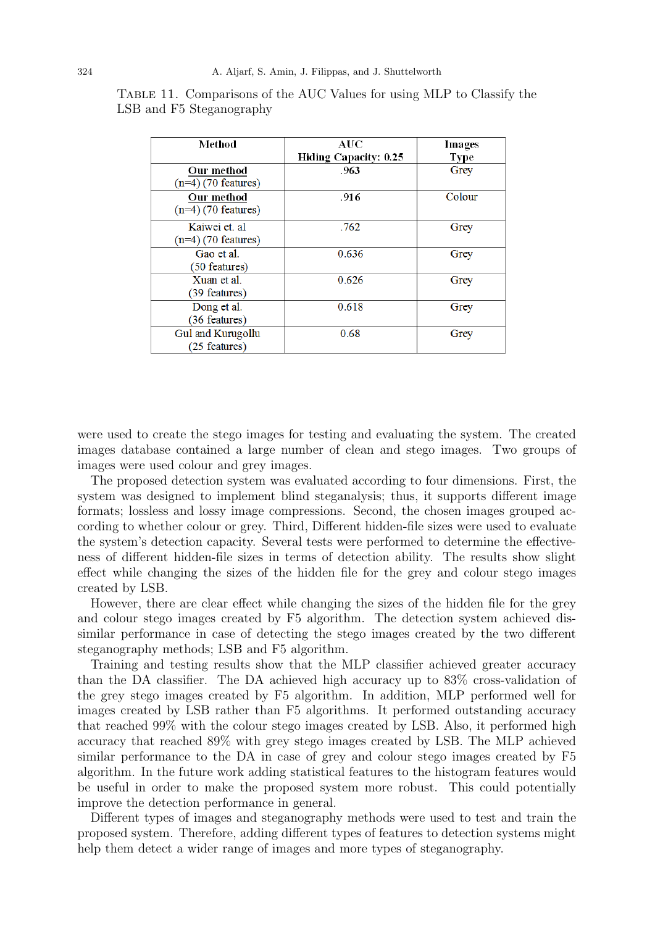| Method                | AUC                   | Images      |
|-----------------------|-----------------------|-------------|
|                       | Hiding Capacity: 0.25 | <b>Type</b> |
| Our method            | .963                  | Grey        |
| $(n=4)$ (70 features) |                       |             |
| Our method            | .916                  | Colour      |
| $(n=4)$ (70 features) |                       |             |
| Kaiwei et. al         | .762                  | Grey        |
| $(n=4)$ (70 features) |                       |             |
| Gao et al.            | 0.636                 | Grey        |
| (50 features)         |                       |             |
| Xuan et al.           | 0.626                 | Grey        |
| (39 features)         |                       |             |
| Dong et al.           | 0.618                 | Grey        |
| (36 features)         |                       |             |
| Gul and Kurugollu     | 0.68                  | Grey        |
| (25 features)         |                       |             |

Table 11. Comparisons of the AUC Values for using MLP to Classify the LSB and F5 Steganography

were used to create the stego images for testing and evaluating the system. The created images database contained a large number of clean and stego images. Two groups of images were used colour and grey images.

The proposed detection system was evaluated according to four dimensions. First, the system was designed to implement blind steganalysis; thus, it supports different image formats; lossless and lossy image compressions. Second, the chosen images grouped according to whether colour or grey. Third, Different hidden-file sizes were used to evaluate the system's detection capacity. Several tests were performed to determine the effectiveness of different hidden-file sizes in terms of detection ability. The results show slight effect while changing the sizes of the hidden file for the grey and colour stego images created by LSB.

However, there are clear effect while changing the sizes of the hidden file for the grey and colour stego images created by F5 algorithm. The detection system achieved dissimilar performance in case of detecting the stego images created by the two different steganography methods; LSB and F5 algorithm.

Training and testing results show that the MLP classifier achieved greater accuracy than the DA classifier. The DA achieved high accuracy up to 83% cross-validation of the grey stego images created by F5 algorithm. In addition, MLP performed well for images created by LSB rather than F5 algorithms. It performed outstanding accuracy that reached 99% with the colour stego images created by LSB. Also, it performed high accuracy that reached 89% with grey stego images created by LSB. The MLP achieved similar performance to the DA in case of grey and colour stego images created by F5 algorithm. In the future work adding statistical features to the histogram features would be useful in order to make the proposed system more robust. This could potentially improve the detection performance in general.

Different types of images and steganography methods were used to test and train the proposed system. Therefore, adding different types of features to detection systems might help them detect a wider range of images and more types of steganography.